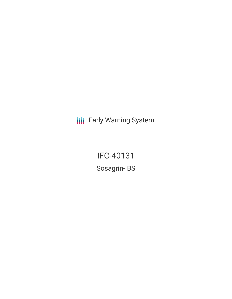**III** Early Warning System

IFC-40131 Sosagrin-IBS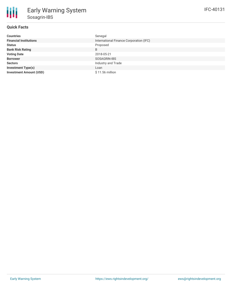# **Quick Facts**

| <b>Countries</b>               | Senegal                                 |
|--------------------------------|-----------------------------------------|
| <b>Financial Institutions</b>  | International Finance Corporation (IFC) |
| <b>Status</b>                  | Proposed                                |
| <b>Bank Risk Rating</b>        | B                                       |
| <b>Voting Date</b>             | 2018-05-21                              |
| <b>Borrower</b>                | SOSAGRIN-IBS                            |
| <b>Sectors</b>                 | Industry and Trade                      |
| <b>Investment Type(s)</b>      | Loan                                    |
| <b>Investment Amount (USD)</b> | \$11.56 million                         |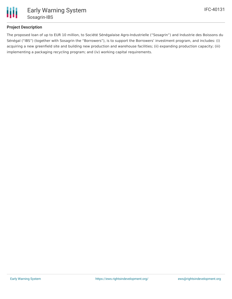

## **Project Description**

The proposed loan of up to EUR 10 million, to Société Sénégalaise Agro-Industrielle ("Sosagrin") and Industrie des Boissons du Sénégal ("IBS") (together with Sosagrin the "Borrowers"), is to support the Borrowers' investment program, and includes: (i) acquiring a new greenfield site and building new production and warehouse facilities; (ii) expanding production capacity; (iii) implementing a packaging recycling program; and (iv) working capital requirements.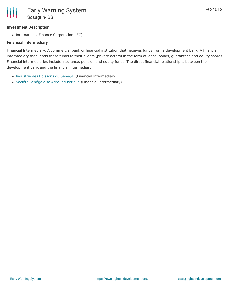### **Investment Description**

• International Finance Corporation (IFC)

### **Financial Intermediary**

Financial Intermediary: A commercial bank or financial institution that receives funds from a development bank. A financial intermediary then lends these funds to their clients (private actors) in the form of loans, bonds, guarantees and equity shares. Financial intermediaries include insurance, pension and equity funds. The direct financial relationship is between the development bank and the financial intermediary.

- [Industrie](file:///actor/1792/) des Boissons du Sénégal (Financial Intermediary)
- Société Sénégalaise [Agro-Industrielle](file:///actor/1791/) (Financial Intermediary)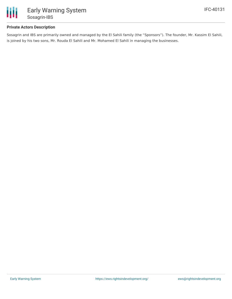

### **Private Actors Description**

Sosagrin and IBS are primarily owned and managed by the El Sahili family (the "Sponsors"). The founder, Mr. Kassim El Sahili, is joined by his two sons, Mr. Rouda El Sahili and Mr. Mohamed El Sahili in managing the businesses.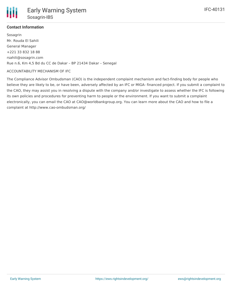

## **Contact Information**

Sosagrin Mr. Rouda El Sahili General Manager +221 33 832 18 88 rsahili@sosagrin.com Rue n.6, Km 4,5 Bd du CC de Dakar – BP 21434 Dakar – Senegal

#### ACCOUNTABILITY MECHANISM OF IFC

The Compliance Advisor Ombudsman (CAO) is the independent complaint mechanism and fact-finding body for people who believe they are likely to be, or have been, adversely affected by an IFC or MIGA- financed project. If you submit a complaint to the CAO, they may assist you in resolving a dispute with the company and/or investigate to assess whether the IFC is following its own policies and procedures for preventing harm to people or the environment. If you want to submit a complaint electronically, you can email the CAO at CAO@worldbankgroup.org. You can learn more about the CAO and how to file a complaint at http://www.cao-ombudsman.org/